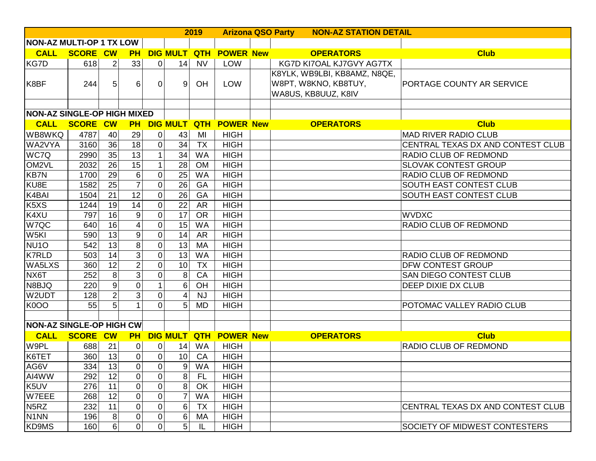|                                    |                      |                 |                 |                |                 | 2019       |                  | <b>Arizona QSO Party</b><br><b>NON-AZ STATION DETAIL</b> |                              |                                   |  |
|------------------------------------|----------------------|-----------------|-----------------|----------------|-----------------|------------|------------------|----------------------------------------------------------|------------------------------|-----------------------------------|--|
| <b>NON-AZ MULTI-OP 1 TX LOW</b>    |                      |                 |                 |                |                 |            |                  |                                                          |                              |                                   |  |
| <b>CALL</b>                        | <b>SCORE CW</b>      |                 | <b>PH</b>       |                | <b>DIG MULT</b> | <b>QTH</b> | <b>POWER New</b> |                                                          | <b>OPERATORS</b>             | <b>Club</b>                       |  |
| <b>KG7D</b>                        | 618                  | $\overline{2}$  | 33              | 0              | 14              | <b>NV</b>  | LOW              |                                                          | KG7D KI7OAL KJ7GVY AG7TX     |                                   |  |
|                                    |                      |                 |                 |                |                 |            |                  |                                                          | K8YLK, WB9LBI, KB8AMZ, N8QE, |                                   |  |
| K8BF                               | 244                  | 5               | 6               | 0              | 9               | OH         | <b>LOW</b>       |                                                          | W8PT, W8KNO, KB8TUY,         | PORTAGE COUNTY AR SERVICE         |  |
|                                    |                      |                 |                 |                |                 |            |                  |                                                          | WA8US, KB8UUZ, K8IV          |                                   |  |
|                                    |                      |                 |                 |                |                 |            |                  |                                                          |                              |                                   |  |
| <b>NON-AZ SINGLE-OP HIGH MIXED</b> |                      |                 |                 |                |                 |            |                  |                                                          |                              |                                   |  |
|                                    | <b>CALL SCORE CW</b> |                 | <b>PH</b>       |                | <b>DIG MULT</b> | <b>QTH</b> | <b>POWER New</b> |                                                          | <b>OPERATORS</b>             | <b>Club</b>                       |  |
| WB8WKQ                             | 4787                 | 40              | 29              | 0              | 43              | MI         | <b>HIGH</b>      |                                                          |                              | <b>MAD RIVER RADIO CLUB</b>       |  |
| WA2VYA                             | 3160                 | 36              | 18              | 0              | 34              | <b>TX</b>  | <b>HIGH</b>      |                                                          |                              | CENTRAL TEXAS DX AND CONTEST CLUB |  |
| WC7Q                               | 2990                 | $\overline{35}$ | 13              | 1              | 34              | <b>WA</b>  | <b>HIGH</b>      |                                                          |                              | RADIO CLUB OF REDMOND             |  |
| OM2VL                              | 2032                 | 26              | 15              | 1              | 28              | <b>OM</b>  | <b>HIGH</b>      |                                                          |                              | <b>SLOVAK CONTEST GROUP</b>       |  |
| <b>KB7N</b>                        | 1700                 | 29              | 6               | 0              | 25              | <b>WA</b>  | <b>HIGH</b>      |                                                          |                              | RADIO CLUB OF REDMOND             |  |
| KU8E                               | 1582                 | $\overline{25}$ | $\overline{7}$  | 0              | $\overline{26}$ | GA         | <b>HIGH</b>      |                                                          |                              | SOUTH EAST CONTEST CLUB           |  |
| K4BAI                              | 1504                 | 21              | $\overline{12}$ | $\overline{0}$ | 26              | GA         | <b>HIGH</b>      |                                                          |                              | SOUTH EAST CONTEST CLUB           |  |
| K5XS                               | 1244                 | 19              | 14              | $\overline{0}$ | 22              | <b>AR</b>  | <b>HIGH</b>      |                                                          |                              |                                   |  |
| K4XU                               | 797                  | 16              | 9               | 0              | 17              | <b>OR</b>  | <b>HIGH</b>      |                                                          |                              | <b>WVDXC</b>                      |  |
| W7QC                               | 640                  | 16              | $\vert 4 \vert$ | 0              | 15              | <b>WA</b>  | <b>HIGH</b>      |                                                          |                              | RADIO CLUB OF REDMOND             |  |
| W5KI                               | 590                  | $\overline{13}$ | 9               | 0              | 14              | <b>AR</b>  | <b>HIGH</b>      |                                                          |                              |                                   |  |
| NU <sub>10</sub>                   | 542                  | $\overline{13}$ | $\overline{8}$  | 0              | 13              | <b>MA</b>  | <b>HIGH</b>      |                                                          |                              |                                   |  |
| <b>K7RLD</b>                       | 503                  | 14              | 3 <sup>1</sup>  | 0              | 13              | <b>WA</b>  | <b>HIGH</b>      |                                                          |                              | RADIO CLUB OF REDMOND             |  |
| <b>WA5LXS</b>                      | 360                  | 12              | $\overline{2}$  | 0              | 10              | <b>TX</b>  | <b>HIGH</b>      |                                                          |                              | <b>DFW CONTEST GROUP</b>          |  |
| NX6T                               | 252                  | $\overline{8}$  | $\overline{3}$  | $\overline{0}$ | 8               | CA         | <b>HIGH</b>      |                                                          |                              | SAN DIEGO CONTEST CLUB            |  |
| N8BJQ                              | 220                  | $\overline{9}$  | $\pmb{0}$       | 1              | $6\phantom{1}$  | OH         | <b>HIGH</b>      |                                                          |                              | DEEP DIXIE DX CLUB                |  |
| W2UDT                              | 128                  | $\overline{2}$  | 3 <sup>1</sup>  | $\overline{0}$ | 4               | <b>NJ</b>  | <b>HIGH</b>      |                                                          |                              |                                   |  |
| K0OO                               | 55                   | 5               |                 | $\overline{0}$ | 5 <sup>1</sup>  | <b>MD</b>  | <b>HIGH</b>      |                                                          |                              | POTOMAC VALLEY RADIO CLUB         |  |
|                                    |                      |                 |                 |                |                 |            |                  |                                                          |                              |                                   |  |
| <b>NON-AZ SINGLE-OP HIGH CW</b>    |                      |                 |                 |                |                 |            |                  |                                                          |                              |                                   |  |
| <b>CALL</b>                        | <b>SCORE CW</b>      |                 | <b>PH</b>       |                | <b>DIG MULT</b> | <b>QTH</b> | <b>POWER New</b> |                                                          | <b>OPERATORS</b>             | <b>Club</b>                       |  |
| W9PL                               | 688                  | 21              | $\overline{0}$  | 0              | 14              | <b>WA</b>  | <b>HIGH</b>      |                                                          |                              | RADIO CLUB OF REDMOND             |  |
| K6TET                              | 360                  | 13              | $\mathbf 0$     | 0              | 10 <sup>1</sup> | CA         | <b>HIGH</b>      |                                                          |                              |                                   |  |
| AG6V                               | 334                  | 13              | 0               | 0              | 9               | WA         | <b>HIGH</b>      |                                                          |                              |                                   |  |
| AI4WW                              | 292                  | 12              | $\pmb{0}$       | $\overline{0}$ | 8 <sup>1</sup>  | FL.        | <b>HIGH</b>      |                                                          |                              |                                   |  |
| K5UV                               | 276                  | 11              | $\mathbf 0$     | $\overline{0}$ | 8 <sup>1</sup>  | OK         | <b>HIGH</b>      |                                                          |                              |                                   |  |
| W7EEE                              | 268                  | 12              | $\mathbf 0$     | $\overline{0}$ |                 | <b>WA</b>  | <b>HIGH</b>      |                                                          |                              |                                   |  |
| N <sub>5</sub> RZ                  | 232                  | 11              | 0               | $\overline{0}$ | 6               | <b>TX</b>  | <b>HIGH</b>      |                                                          |                              | CENTRAL TEXAS DX AND CONTEST CLUB |  |
| N <sub>1</sub> NN                  | 196                  | 8               | 0               | $\overline{0}$ | 6               | MA         | <b>HIGH</b>      |                                                          |                              |                                   |  |
| KD9MS                              | 160                  | 6               | 0               | 0              | 5 <sup>1</sup>  | IL         | <b>HIGH</b>      |                                                          |                              | SOCIETY OF MIDWEST CONTESTERS     |  |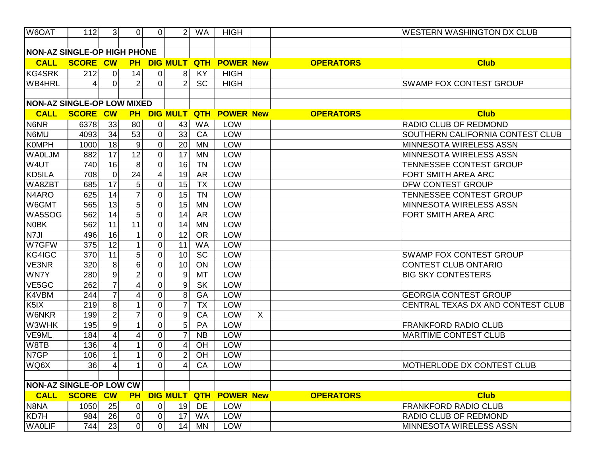| W6OAT                              | 112             | $\mathbf{3}$            | $\overline{0}$ | $\Omega$                | 2                | <b>WA</b> | <b>HIGH</b>            |         |                  | <b>WESTERN WASHINGTON DX CLUB</b> |
|------------------------------------|-----------------|-------------------------|----------------|-------------------------|------------------|-----------|------------------------|---------|------------------|-----------------------------------|
|                                    |                 |                         |                |                         |                  |           |                        |         |                  |                                   |
| <b>NON-AZ SINGLE-OP HIGH PHONE</b> |                 |                         |                |                         |                  |           |                        |         |                  |                                   |
| <b>CALL</b>                        | <b>SCORE CW</b> |                         | <b>PH</b>      |                         | <b>DIG MULT</b>  |           | <b>QTH POWER New</b>   |         | <b>OPERATORS</b> | <b>Club</b>                       |
| <b>KG4SRK</b>                      | 212             | $\mathbf 0$             | 14             | 0                       | 8                | <b>KY</b> | <b>HIGH</b>            |         |                  |                                   |
| <b>WB4HRL</b>                      | 4               | $\mathbf 0$             | $\overline{2}$ | $\Omega$                | 2 <sup>1</sup>   | SC        | <b>HIGH</b>            |         |                  | <b>SWAMP FOX CONTEST GROUP</b>    |
|                                    |                 |                         |                |                         |                  |           |                        |         |                  |                                   |
| <b>NON-AZ SINGLE-OP LOW MIXED</b>  |                 |                         |                |                         |                  |           |                        |         |                  |                                   |
| <b>CALL</b>                        | <b>SCORE CW</b> |                         | <b>PH</b>      |                         | <b>DIG MULT</b>  |           | <b>QTH POWER New</b>   |         | <b>OPERATORS</b> | <b>Club</b>                       |
| N6NR                               | 6378            | 33                      | 80             | $\overline{0}$          | 43               | <b>WA</b> | <b>LOW</b>             |         |                  | RADIO CLUB OF REDMOND             |
| N6MU                               | 4093            | 34                      | 53             | 0                       | 33               | CA        | LOW                    |         |                  | SOUTHERN CALIFORNIA CONTEST CLUB  |
| <b>KOMPH</b>                       | 1000            | 18                      | 9              | $\overline{0}$          | 20               | <b>MN</b> | LOW                    |         |                  | <b>MINNESOTA WIRELESS ASSN</b>    |
| <b>WAOLJM</b>                      | 882             | 17                      | 12             | $\overline{0}$          | 17               | <b>MN</b> | <b>LOW</b>             |         |                  | MINNESOTA WIRELESS ASSN           |
| W4UT                               | 740             | 16                      | $\overline{8}$ | $\overline{0}$          | 16               | <b>TN</b> | LOW                    |         |                  | TENNESSEE CONTEST GROUP           |
| KD5ILA                             | 708             | $\pmb{0}$               | 24             | $\overline{\mathbf{4}}$ | 19               | <b>AR</b> | LOW                    |         |                  | FORT SMITH AREA ARC               |
| WA8ZBT                             | 685             | 17                      | 5              | $\overline{0}$          | 15               | <b>TX</b> | LOW                    |         |                  | <b>DFW CONTEST GROUP</b>          |
| N4ARO                              | 625             | 14                      | $\overline{7}$ | $\mathbf 0$             | 15               | <b>TN</b> | LOW                    |         |                  | TENNESSEE CONTEST GROUP           |
| W6GMT                              | 565             | 13                      | 5              | $\mathbf 0$             | 15               | <b>MN</b> | LOW                    |         |                  | MINNESOTA WIRELESS ASSN           |
| WA5SOG                             | 562             | 14                      | 5              | $\overline{0}$          | 14               | <b>AR</b> | LOW                    |         |                  | FORT SMITH AREA ARC               |
| <b>N0BK</b>                        | 562             | 11                      | 11             | $\overline{0}$          | 14               | <b>MN</b> | LOW                    |         |                  |                                   |
| N7JI                               | 496             | 16                      |                | $\mathbf 0$             | 12               | <b>OR</b> | LOW                    |         |                  |                                   |
| W7GFW                              | 375             | 12                      |                | $\mathbf 0$             | 11               | <b>WA</b> | <b>LOW</b>             |         |                  |                                   |
| KG4IGC                             | 370             | 11                      | 5              | $\overline{0}$          | 10               | <b>SC</b> | LOW                    |         |                  | <b>SWAMP FOX CONTEST GROUP</b>    |
| VE3NR                              | 320             | 8                       | 6              | $\overline{0}$          | 10               | ON        | LOW                    |         |                  | <b>CONTEST CLUB ONTARIO</b>       |
| WN7Y                               | 280             | $\boldsymbol{9}$        | $\overline{2}$ | 0                       | $\boldsymbol{9}$ | <b>MT</b> | LOW                    |         |                  | <b>BIG SKY CONTESTERS</b>         |
| VE5GC                              | 262             | $\overline{7}$          | 4              | $\overline{0}$          | 9                | <b>SK</b> | LOW                    |         |                  |                                   |
| K4VBM                              | 244             | $\overline{7}$          | 4              | $\mathbf 0$             | 8                | GA        | LOW                    |         |                  | <b>GEORGIA CONTEST GROUP</b>      |
| K <sub>5</sub> IX                  | 219             | $\overline{8}$          | 1              | $\overline{0}$          | $\overline{7}$   | <b>TX</b> | LOW                    |         |                  | CENTRAL TEXAS DX AND CONTEST CLUB |
| <b>W6NKR</b>                       | 199             | $\overline{2}$          | $\overline{7}$ | 0                       | $\boldsymbol{9}$ | CA        | LOW                    | $\sf X$ |                  |                                   |
| W3WHK                              | 195             | $\boldsymbol{9}$        | 1              | $\mathbf 0$             | 5 <sup>1</sup>   | PA        | LOW                    |         |                  | <b>FRANKFORD RADIO CLUB</b>       |
| VE9ML                              | 184             | $\overline{4}$          | 4              | $\mathbf 0$             | $\overline{7}$   | <b>NB</b> | <b>LOW</b>             |         |                  | <b>MARITIME CONTEST CLUB</b>      |
| W8TB                               | 136             | $\overline{\mathbf{4}}$ | 1              | $\overline{0}$          | 4                | <b>OH</b> | LOW                    |         |                  |                                   |
| N7GP                               | 106             | $\mathbf{1}$            | 1              | 0                       | $\overline{2}$   | OH        | LOW                    |         |                  |                                   |
| WQ6X                               | 36              | 4                       | $\mathbf{1}$   | $\overline{0}$          | $\vert 4 \vert$  | CA        | LOW                    |         |                  | MOTHERLODE DX CONTEST CLUB        |
|                                    |                 |                         |                |                         |                  |           |                        |         |                  |                                   |
| <b>NON-AZ SINGLE-OP LOW CW</b>     |                 |                         |                |                         |                  |           |                        |         |                  |                                   |
| <b>CALL</b>                        | <b>SCORE CW</b> |                         | <b>PH</b>      |                         |                  |           | DIG MULT QTH POWER New |         | <b>OPERATORS</b> | <b>Club</b>                       |
| N8NA                               | 1050            | 25                      | 0              | 0                       | 19               | DE        | <b>LOW</b>             |         |                  | <b>FRANKFORD RADIO CLUB</b>       |
| KD7H                               | 984             | 26                      | 0              | 0                       | 17               | <b>WA</b> | <b>LOW</b>             |         |                  | <b>RADIO CLUB OF REDMOND</b>      |
| <b>WAOLIF</b>                      | 744             | 23                      | $\overline{0}$ | 0                       | 14               | <b>MN</b> | LOW                    |         |                  | <b>MINNESOTA WIRELESS ASSN</b>    |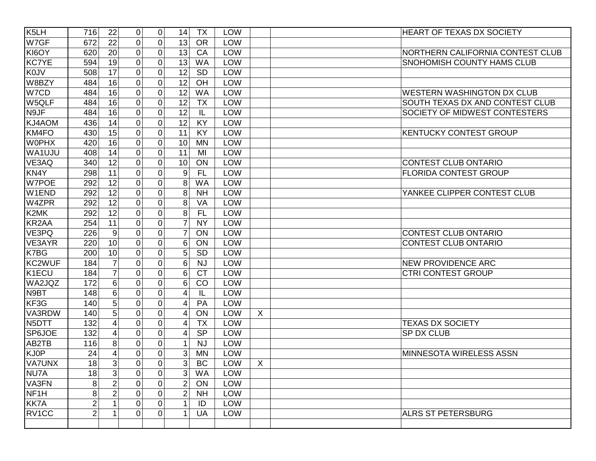| K <sub>5</sub> LH  | 716            | 22             | $\mathbf 0$    | $\overline{0}$ | <b>TX</b><br>14               | <b>LOW</b> |             | <b>HEART OF TEXAS DX SOCIETY</b>       |
|--------------------|----------------|----------------|----------------|----------------|-------------------------------|------------|-------------|----------------------------------------|
| W7GF               | 672            | 22             | $\overline{0}$ | 0              | 13<br><b>OR</b>               | LOW        |             |                                        |
| KI6OY              | 620            | 20             | 0              | 0              | 13<br>CA                      | LOW        |             | NORTHERN CALIFORNIA CONTEST CLUB       |
| <b>KC7YE</b>       | 594            | 19             | $\mathbf 0$    | $\overline{0}$ | 13<br><b>WA</b>               | LOW        |             | SNOHOMISH COUNTY HAMS CLUB             |
| <b>K0JV</b>        | 508            | 17             | 0              | 0              | 12<br><b>SD</b>               | LOW        |             |                                        |
| W8BZY              | 484            | 16             | 0              | $\overline{0}$ | 12<br>OH                      | LOW        |             |                                        |
| W7CD               | 484            | 16             | $\overline{0}$ | 0              | 12<br><b>WA</b>               | LOW        |             | <b>WESTERN WASHINGTON DX CLUB</b>      |
| W5QLF              | 484            | 16             | $\overline{0}$ | 0              | 12<br><b>TX</b>               | LOW        |             | <b>SOUTH TEXAS DX AND CONTEST CLUB</b> |
| N9JF               | 484            | 16             | 0              | 0              | 12<br>IL                      | LOW        |             | SOCIETY OF MIDWEST CONTESTERS          |
| KJ4AOM             | 436            | 14             | 0              | $\overline{0}$ | 12<br><b>KY</b>               | LOW        |             |                                        |
| KM4FO              | 430            | 15             | 0              | $\overline{0}$ | 11<br><b>KY</b>               | LOW        |             | <b>KENTUCKY CONTEST GROUP</b>          |
| <b>WOPHX</b>       | 420            | 16             | 0              | 0              | 10<br><b>MN</b>               | LOW        |             |                                        |
| WA1UJU             | 408            | 14             | 0              | 0              | 11<br>MI                      | LOW        |             |                                        |
| VE3AQ              | 340            | 12             | 0              | 0              | 10<br>ON                      | LOW        |             | <b>CONTEST CLUB ONTARIO</b>            |
| KN4Y               | 298            | 11             | $\overline{0}$ | $\overline{0}$ | 9<br><b>FL</b>                | <b>LOW</b> |             | <b>FLORIDA CONTEST GROUP</b>           |
| W7POE              | 292            | 12             | 0              | 0              | 8<br><b>WA</b>                | LOW        |             |                                        |
| W1END              | 292            | 12             | 0              | 0              | 8<br><b>NH</b>                | LOW        |             | YANKEE CLIPPER CONTEST CLUB            |
| W4ZPR              | 292            | 12             | 0              | 0              | 8<br>VA                       | LOW        |             |                                        |
| K2MK               | 292            | 12             | 0              | $\overline{0}$ | 8<br><b>FL</b>                | LOW        |             |                                        |
| KR <sub>2</sub> AA | 254            | 11             | 0              | 0              | $\overline{7}$<br><b>NY</b>   | LOW        |             |                                        |
| VE3PQ              | 226            | 9              | 0              | 0              | $\overline{7}$<br>ON          | LOW        |             | <b>CONTEST CLUB ONTARIO</b>            |
| VE3AYR             | 220            | 10             | 0              | 0              | $6 \mid$<br>ON                | LOW        |             | <b>CONTEST CLUB ONTARIO</b>            |
| K7BG               | 200            | 10             | 0              | 0              | 5 <sup>1</sup><br><b>SD</b>   | LOW        |             |                                        |
| KC2WUF             | 184            | $\overline{7}$ | 0              | $\overline{0}$ | $6 \mid$<br><b>NJ</b>         | LOW        |             | <b>NEW PROVIDENCE ARC</b>              |
| K <sub>1</sub> ECU | 184            | $\overline{7}$ | 0              | 0              | 6<br><b>CT</b>                | LOW        |             | <b>CTRI CONTEST GROUP</b>              |
| WA2JQZ             | 172            | 6              | 0              | 0              | 6 <sup>1</sup><br>CO          | LOW        |             |                                        |
| N9BT               | 148            | 6              | 0              | 0              | IL<br>4                       | LOW        |             |                                        |
| KF <sub>3</sub> G  | 140            | 5              | 0              | $\overline{0}$ | PA<br>4                       | LOW        |             |                                        |
| VA3RDW             | 140            | $\overline{5}$ | 0              | $\overline{0}$ | ON<br>4                       | LOW        | $\sf X$     |                                        |
| N5DTT              | 132            | 4              | 0              | 0              | <b>TX</b><br>4                | LOW        |             | <b>TEXAS DX SOCIETY</b>                |
| SP6JOE             | 132            | $\overline{4}$ | 0              | $\overline{0}$ | <b>SP</b><br>4                | LOW        |             | SP DX CLUB                             |
| AB2TB              | 116            | 8              | 0              | 0              | <b>NJ</b>                     | LOW        |             |                                        |
| KJ0P               | 24             | 4              | 0              | 0              | 3<br><b>MN</b>                | LOW        |             | <b>MINNESOTA WIRELESS ASSN</b>         |
| <b>VA7UNX</b>      | 18             | $\overline{3}$ | $\mathbf 0$    | 0              | $\mathbf{R}$<br>$\sf BC$<br>ັ | LOW        | $\mathsf X$ |                                        |
| NU7A               | 18             | 3              | 0              | $\overline{0}$ | 3 <sup>1</sup><br><b>WA</b>   | LOW        |             |                                        |
| VA3FN              | 8              | $\overline{2}$ | 0              | 0              | $\overline{2}$<br>ON          | LOW        |             |                                        |
| NF <sub>1</sub> H  | 8              | $\overline{2}$ | 0              | $\overline{0}$ | $\overline{2}$<br><b>NH</b>   | LOW        |             |                                        |
| <b>KK7A</b>        | $\overline{2}$ | 1              | 0              | $\overline{0}$ | $\mathbf 1$<br>ID             | LOW        |             |                                        |
| RV1CC              | $\overline{2}$ |                | $\overline{0}$ | 0              | <b>UA</b><br>1                | LOW        |             | <b>ALRS ST PETERSBURG</b>              |
|                    |                |                |                |                |                               |            |             |                                        |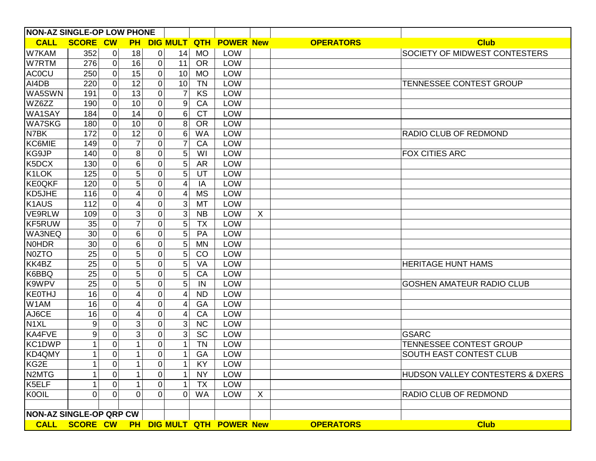| <b>NON-AZ SINGLE-OP LOW PHONE</b> |                 |                     |                 |                |                 |            |                                         |         |                  |                                             |
|-----------------------------------|-----------------|---------------------|-----------------|----------------|-----------------|------------|-----------------------------------------|---------|------------------|---------------------------------------------|
| <b>CALL</b>                       | <b>SCORE CW</b> |                     | <b>PH</b>       |                | <b>DIG MULT</b> | <b>QTH</b> | <b>POWER New</b>                        |         | <b>OPERATORS</b> | <b>Club</b>                                 |
| W7KAM                             | 352             | $\mathbf 0$         | 18              | $\mathbf 0$    | 14              | <b>MO</b>  | <b>LOW</b>                              |         |                  | SOCIETY OF MIDWEST CONTESTERS               |
| W7RTM                             | 276             | $\mathbf 0$         | $\overline{16}$ | $\mathbf 0$    | 11              | <b>OR</b>  | LOW                                     |         |                  |                                             |
| <b>ACOCU</b>                      | 250             | $\pmb{0}$           | 15              | $\mathbf 0$    | 10              | <b>MO</b>  | LOW                                     |         |                  |                                             |
| AI4DB                             | 220             | $\pmb{0}$           | 12              | $\mathbf 0$    | 10              | <b>TN</b>  | LOW                                     |         |                  | <b>TENNESSEE CONTEST GROUP</b>              |
| WA5SWN                            | 191             | $\boldsymbol{0}$    | 13              | 0              | 7               | KS         | LOW                                     |         |                  |                                             |
| WZ6ZZ                             | 190             | $\mathbf 0$         | 10              | 0              | 9               | CA         | LOW                                     |         |                  |                                             |
| WA1SAY                            | 184             | $\mathbf 0$         | 14              | $\overline{0}$ | 6               | <b>CT</b>  | LOW                                     |         |                  |                                             |
| <b>WA7SKG</b>                     | 180             | $\overline{0}$      | 10              | 0              | 8               | <b>OR</b>  | LOW                                     |         |                  |                                             |
| N7BK                              | 172             | $\pmb{0}$           | 12              | 0              | 6               | <b>WA</b>  | LOW                                     |         |                  | <b>RADIO CLUB OF REDMOND</b>                |
| <b>KC6MIE</b>                     | 149             | $\boldsymbol{0}$    |                 | 0              | $\overline{7}$  | CA         | LOW                                     |         |                  |                                             |
| KG9JP                             | 140             | $\overline{0}$      | 8               | $\Omega$       | 5               | WI         | LOW                                     |         |                  | <b>FOX CITIES ARC</b>                       |
| K5DCX                             | 130             | $\boldsymbol{0}$    | 6               | $\Omega$       | 5               | <b>AR</b>  | LOW                                     |         |                  |                                             |
| K1LOK                             | 125             | $\pmb{0}$           | 5               | 0              | 5               | UT         | LOW                                     |         |                  |                                             |
| <b>KE0QKF</b>                     | 120             | $\boldsymbol{0}$    | 5               | 0              | 4               | IA         | LOW                                     |         |                  |                                             |
| KD5JHE                            | 116             | $\mathbf 0$         | 4               | 0              | 4               | <b>MS</b>  | LOW                                     |         |                  |                                             |
| K <sub>1</sub> AUS                | 112             | $\overline{0}$      | 4               | $\Omega$       | 3               | MT         | LOW                                     |         |                  |                                             |
| <b>VE9RLW</b>                     | 109             | $\mathbf 0$         | 3               | 0              | 3 <sup>1</sup>  | <b>NB</b>  | LOW                                     | X       |                  |                                             |
| KF5RUW                            | 35              | $\pmb{0}$           | 7               | 0              | 5               | <b>TX</b>  | LOW                                     |         |                  |                                             |
| <b>WA3NEQ</b>                     | 30              | $\boldsymbol{0}$    | 6               | 0              | 5               | PA         | LOW                                     |         |                  |                                             |
| <b>NOHDR</b>                      | 30              | $\overline{0}$      | 6               | $\Omega$       | 5               | <b>MN</b>  | LOW                                     |         |                  |                                             |
| N0ZTO                             | 25              | $\boldsymbol{0}$    | 5               | $\Omega$       | 5               | CO         | LOW                                     |         |                  |                                             |
| KK4BZ                             | 25              | $\pmb{0}$           | 5               | 0              | 5               | VA         | LOW                                     |         |                  | <b>HERITAGE HUNT HAMS</b>                   |
| K6BBQ                             | 25              | $\boldsymbol{0}$    | 5               | 0              | 5               | CA         | LOW                                     |         |                  |                                             |
| K9WPV                             | 25              | $\pmb{0}$           | 5               | 0              | 5               | IN         | LOW                                     |         |                  | <b>GOSHEN AMATEUR RADIO CLUB</b>            |
| KEOTHJ                            | 16              | $\pmb{0}$           | 4               | 0              | 4               | <b>ND</b>  | LOW                                     |         |                  |                                             |
| W1AM                              | 16              | $\boldsymbol{0}$    | 4               | 0              | 4               | GA         | LOW                                     |         |                  |                                             |
| AJ6CE                             | 16              | $\pmb{0}$           | 4               | 0              | 4               | CA         | LOW                                     |         |                  |                                             |
| N <sub>1</sub> XL                 | 9               | $\boldsymbol{0}$    | 3               | 0              | 3               | <b>NC</b>  | LOW                                     |         |                  |                                             |
| KA4FVE                            | 9               | $\pmb{0}$           | 3               | 0              | 3 <sup>1</sup>  | SC         | LOW                                     |         |                  | <b>GSARC</b>                                |
| KC1DWP                            | 1               | $\mathbf 0$         |                 | 0              | 1               | <b>TN</b>  | LOW                                     |         |                  | <b>TENNESSEE CONTEST GROUP</b>              |
| KD4QMY                            |                 | $\pmb{0}$           | 1               | 0              | 1               | GA         | LOW                                     |         |                  | SOUTH EAST CONTEST CLUB                     |
| KG2E                              |                 | $\mathsf{O}\xspace$ |                 | $\pmb{0}$      | 1 <sup>1</sup>  | KY         | LOW                                     |         |                  |                                             |
| N <sub>2</sub> MTG                |                 | $\overline{0}$      |                 | 0              | 1               | <b>NY</b>  | LOW                                     |         |                  | <b>HUDSON VALLEY CONTESTERS &amp; DXERS</b> |
| K5ELF                             |                 | $\pmb{0}$           | 1               | 0              | 1               | <b>TX</b>  | LOW                                     |         |                  |                                             |
| K0OIL                             | 0               | $\overline{0}$      | 0               | 0              | 0               | <b>WA</b>  | <b>LOW</b>                              | $\sf X$ |                  | RADIO CLUB OF REDMOND                       |
|                                   |                 |                     |                 |                |                 |            |                                         |         |                  |                                             |
| NON-AZ SINGLE-OP QRP CW           |                 |                     |                 |                |                 |            |                                         |         |                  |                                             |
|                                   |                 |                     |                 |                |                 |            | CALL SCORE CW PH DIG MULT QTH POWER New |         | <b>OPERATORS</b> | <b>Club</b>                                 |